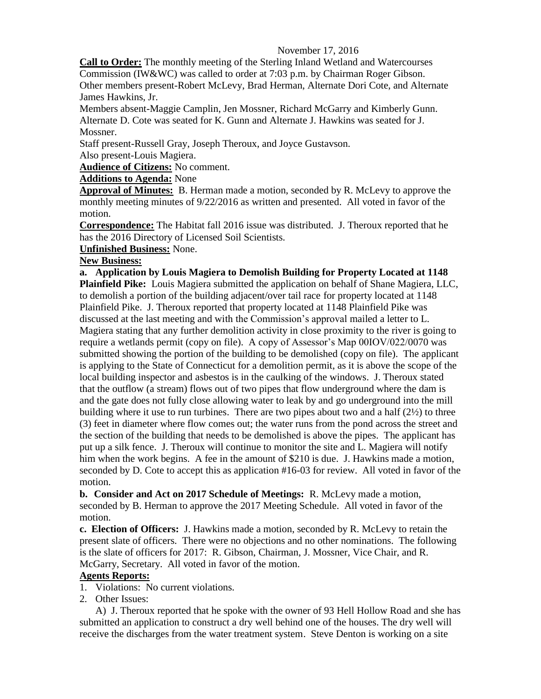### November 17, 2016

**Call to Order:** The monthly meeting of the Sterling Inland Wetland and Watercourses Commission (IW&WC) was called to order at 7:03 p.m. by Chairman Roger Gibson.

Other members present-Robert McLevy, Brad Herman, Alternate Dori Cote, and Alternate James Hawkins, Jr.

Members absent-Maggie Camplin, Jen Mossner, Richard McGarry and Kimberly Gunn. Alternate D. Cote was seated for K. Gunn and Alternate J. Hawkins was seated for J. Mossner.

Staff present-Russell Gray, Joseph Theroux, and Joyce Gustavson.

Also present-Louis Magiera.

**Audience of Citizens:** No comment.

# **Additions to Agenda:** None

**Approval of Minutes:** B. Herman made a motion, seconded by R. McLevy to approve the monthly meeting minutes of 9/22/2016 as written and presented. All voted in favor of the motion.

**Correspondence:** The Habitat fall 2016 issue was distributed. J. Theroux reported that he has the 2016 Directory of Licensed Soil Scientists.

#### **Unfinished Business:** None.

## **New Business:**

**a. Application by Louis Magiera to Demolish Building for Property Located at 1148 Plainfield Pike:** Louis Magiera submitted the application on behalf of Shane Magiera, LLC, to demolish a portion of the building adjacent/over tail race for property located at 1148 Plainfield Pike. J. Theroux reported that property located at 1148 Plainfield Pike was discussed at the last meeting and with the Commission's approval mailed a letter to L. Magiera stating that any further demolition activity in close proximity to the river is going to require a wetlands permit (copy on file). A copy of Assessor's Map 00IOV/022/0070 was submitted showing the portion of the building to be demolished (copy on file). The applicant is applying to the State of Connecticut for a demolition permit, as it is above the scope of the local building inspector and asbestos is in the caulking of the windows. J. Theroux stated that the outflow (a stream) flows out of two pipes that flow underground where the dam is and the gate does not fully close allowing water to leak by and go underground into the mill building where it use to run turbines. There are two pipes about two and a half (2½) to three (3) feet in diameter where flow comes out; the water runs from the pond across the street and the section of the building that needs to be demolished is above the pipes. The applicant has put up a silk fence. J. Theroux will continue to monitor the site and L. Magiera will notify him when the work begins. A fee in the amount of \$210 is due. J. Hawkins made a motion, seconded by D. Cote to accept this as application #16-03 for review. All voted in favor of the motion.

**b. Consider and Act on 2017 Schedule of Meetings:** R. McLevy made a motion, seconded by B. Herman to approve the 2017 Meeting Schedule. All voted in favor of the motion.

**c. Election of Officers:** J. Hawkins made a motion, seconded by R. McLevy to retain the present slate of officers. There were no objections and no other nominations. The following is the slate of officers for 2017: R. Gibson, Chairman, J. Mossner, Vice Chair, and R. McGarry, Secretary. All voted in favor of the motion.

## **Agents Reports:**

1. Violations: No current violations.

2. Other Issues:

A) J. Theroux reported that he spoke with the owner of 93 Hell Hollow Road and she has submitted an application to construct a dry well behind one of the houses. The dry well will receive the discharges from the water treatment system. Steve Denton is working on a site